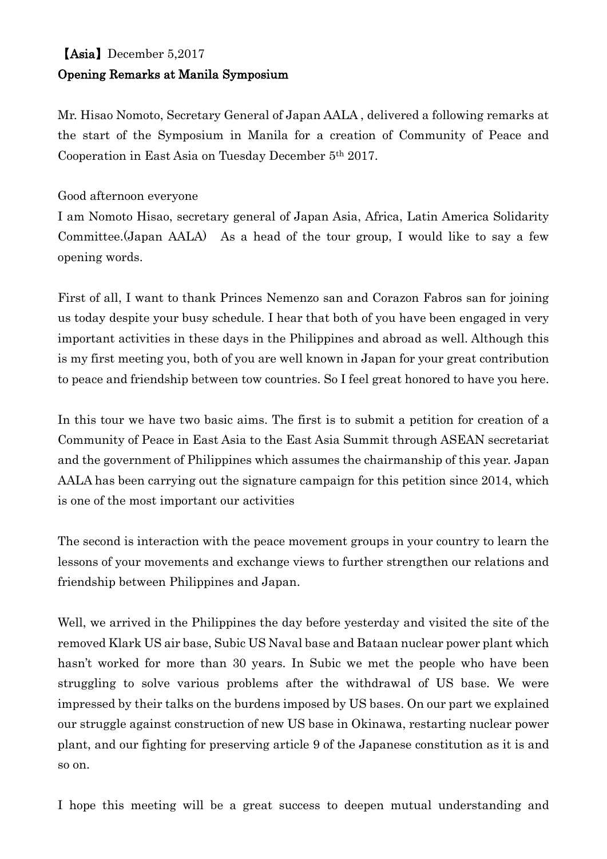## 【Asia】December 5,2017 Opening Remarks at Manila Symposium

Mr. Hisao Nomoto, Secretary General of Japan AALA , delivered a following remarks at the start of the Symposium in Manila for a creation of Community of Peace and Cooperation in East Asia on Tuesday December 5th 2017.

## Good afternoon everyone

I am Nomoto Hisao, secretary general of Japan Asia, Africa, Latin America Solidarity Committee.(Japan AALA) As a head of the tour group, I would like to say a few opening words.

First of all, I want to thank Princes Nemenzo san and Corazon Fabros san for joining us today despite your busy schedule. I hear that both of you have been engaged in very important activities in these days in the Philippines and abroad as well. Although this is my first meeting you, both of you are well known in Japan for your great contribution to peace and friendship between tow countries. So I feel great honored to have you here.

In this tour we have two basic aims. The first is to submit a petition for creation of a Community of Peace in East Asia to the East Asia Summit through ASEAN secretariat and the government of Philippines which assumes the chairmanship of this year. Japan AALA has been carrying out the signature campaign for this petition since 2014, which is one of the most important our activities

The second is interaction with the peace movement groups in your country to learn the lessons of your movements and exchange views to further strengthen our relations and friendship between Philippines and Japan.

Well, we arrived in the Philippines the day before yesterday and visited the site of the removed Klark US air base, Subic US Naval base and Bataan nuclear power plant which hasn't worked for more than 30 years. In Subic we met the people who have been struggling to solve various problems after the withdrawal of US base. We were impressed by their talks on the burdens imposed by US bases. On our part we explained our struggle against construction of new US base in Okinawa, restarting nuclear power plant, and our fighting for preserving article 9 of the Japanese constitution as it is and so on.

I hope this meeting will be a great success to deepen mutual understanding and